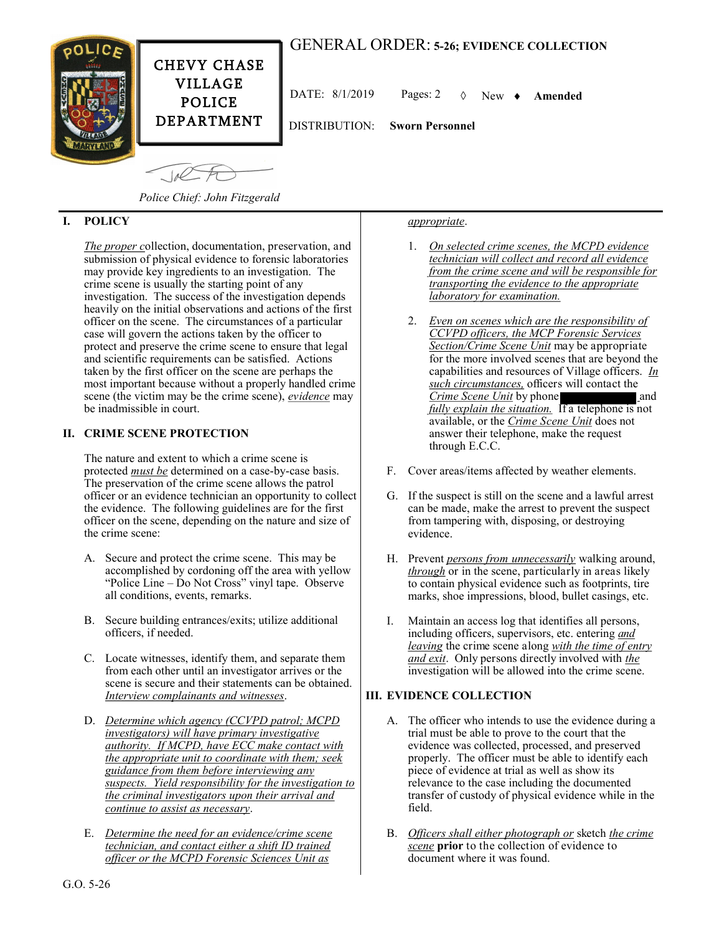# GENERAL ORDER: **5-26; EVIDENCE COLLECTION**



CHEVY CHASE VILLAGE POLICE DEPARTMENT

DATE: 8/1/2019 Pages: 2 New **Amended**

DISTRIBUTION: **Sworn Personnel**

 $10<sup>2</sup>$ 

*Police Chief: John Fitzgerald*

## **I. POLICY**

*The proper c*ollection, documentation, preservation, and submission of physical evidence to forensic laboratories may provide key ingredients to an investigation. The crime scene is usually the starting point of any investigation. The success of the investigation depends heavily on the initial observations and actions of the first officer on the scene. The circumstances of a particular case will govern the actions taken by the officer to protect and preserve the crime scene to ensure that legal and scientific requirements can be satisfied. Actions taken by the first officer on the scene are perhaps the most important because without a properly handled crime scene (the victim may be the crime scene), *evidence* may be inadmissible in court.

## **II. CRIME SCENE PROTECTION**

The nature and extent to which a crime scene is protected *must be* determined on a case-by-case basis. The preservation of the crime scene allows the patrol officer or an evidence technician an opportunity to collect the evidence. The following guidelines are for the first officer on the scene, depending on the nature and size of the crime scene:

- A. Secure and protect the crime scene. This may be accomplished by cordoning off the area with yellow "Police Line – Do Not Cross" vinyl tape. Observe all conditions, events, remarks.
- B. Secure building entrances/exits; utilize additional officers, if needed.
- C. Locate witnesses, identify them, and separate them from each other until an investigator arrives or the scene is secure and their statements can be obtained. *Interview complainants and witnesses*.
- D. *Determine which agency (CCVPD patrol; MCPD investigators) will have primary investigative authority. If MCPD, have ECC make contact with the appropriate unit to coordinate with them; seek guidance from them before interviewing any suspects. Yield responsibility for the investigation to the criminal investigators upon their arrival and continue to assist as necessary*.
- E. *Determine the need for an evidence/crime scene technician, and contact either a shift ID trained officer or the MCPD Forensic Sciences Unit as*

#### *appropriate*.

- 1. *On selected crime scenes, the MCPD evidence technician will collect and record all evidence from the crime scene and will be responsible for transporting the evidence to the appropriate laboratory for examination.*
- 2. *Even on scenes which are the responsibility of CCVPD officers, the MCP Forensic Services Section/Crime Scene Unit* may be appropriate for the more involved scenes that are beyond the capabilities and resources of Village officers. *In such circumstances,* officers will contact the *Crime Scene Unit* by phone **1999** and *fully explain the situation.* If a telephone is not available, or the *Crime Scene Unit* does not answer their telephone, make the request through E.C.C.
- F. Cover areas/items affected by weather elements.
- G. If the suspect is still on the scene and a lawful arrest can be made, make the arrest to prevent the suspect from tampering with, disposing, or destroying evidence.
- H. Prevent *persons from unnecessarily* walking around, *through* or in the scene, particularly in areas likely to contain physical evidence such as footprints, tire marks, shoe impressions, blood, bullet casings, etc.
- I. Maintain an access log that identifies all persons, including officers, supervisors, etc. entering *and leaving* the crime scene along *with the time of entry and exit*. Only persons directly involved with *the* investigation will be allowed into the crime scene.

## **III. EVIDENCE COLLECTION**

- A. The officer who intends to use the evidence during a trial must be able to prove to the court that the evidence was collected, processed, and preserved properly. The officer must be able to identify each piece of evidence at trial as well as show its relevance to the case including the documented transfer of custody of physical evidence while in the field.
- B. *Officers shall either photograph or* sketch *the crime scene* **prior** to the collection of evidence to document where it was found.